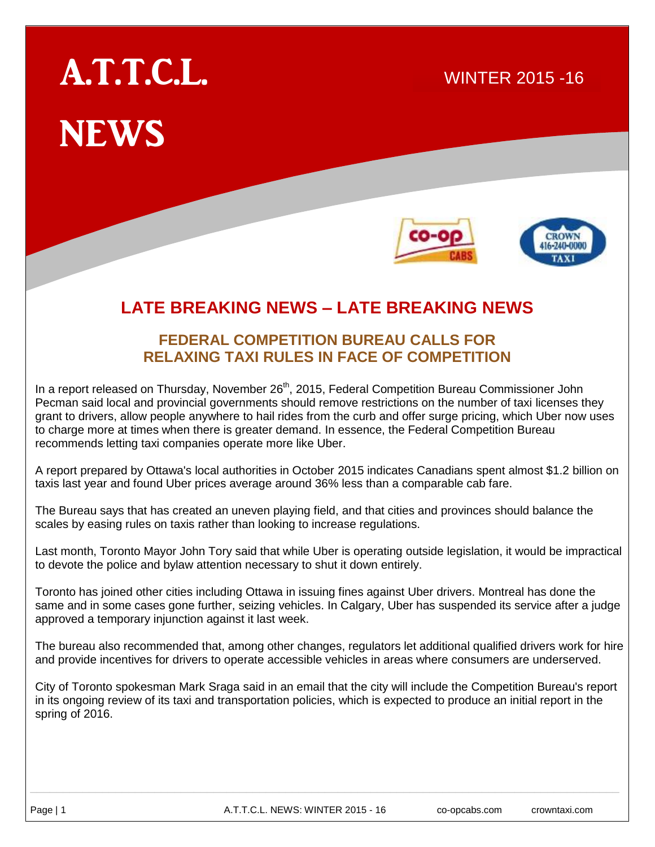# A.T.T.C.L. **NEWS**



2015

WINTER 2015 -16

 $\mathcal{S}(\mathcal{S})$  and  $\mathcal{S}(\mathcal{S})$  and  $\mathcal{S}(\mathcal{S})$  and  $\mathcal{S}(\mathcal{S})$  and  $\mathcal{S}(\mathcal{S})$ 

## **LATE BREAKING NEWS – LATE BREAKING NEWS**

### **FEDERAL COMPETITION BUREAU CALLS FOR RELAXING TAXI RULES IN FACE OF COMPETITION**

In a report released on Thursday, November 26<sup>th</sup>, 2015, Federal Competition Bureau Commissioner John Pecman said local and provincial governments should remove restrictions on the number of taxi licenses they grant to drivers, allow people anywhere to hail rides from the curb and offer surge pricing, which Uber now uses to charge more at times when there is greater demand. In essence, the Federal Competition Bureau recommends letting taxi companies operate more like Uber.

A report prepared by Ottawa's local authorities in October 2015 indicates Canadians spent almost \$1.2 billion on taxis last year and found Uber prices average around 36% less than a comparable cab fare.

The Bureau says that has created an uneven playing field, and that cities and provinces should balance the scales by easing rules on taxis rather than looking to increase regulations.

Last month, Toronto Mayor John Tory said that while Uber is operating outside legislation, it would be impractical to devote the police and bylaw attention necessary to shut it down entirely.

Toronto has joined other cities including Ottawa in issuing fines against Uber drivers. Montreal has done the same and in some cases gone further, seizing vehicles. In Calgary, Uber has suspended its service after a judge approved a temporary injunction against it last week.

The bureau also recommended that, among other changes, regulators let additional qualified drivers work for hire and provide incentives for drivers to operate accessible vehicles in areas where consumers are underserved.

City of Toronto spokesman Mark Sraga said in an email that the city will include the Competition Bureau's report in its ongoing review of its taxi and transportation policies, which is expected to produce an initial report in the spring of 2016.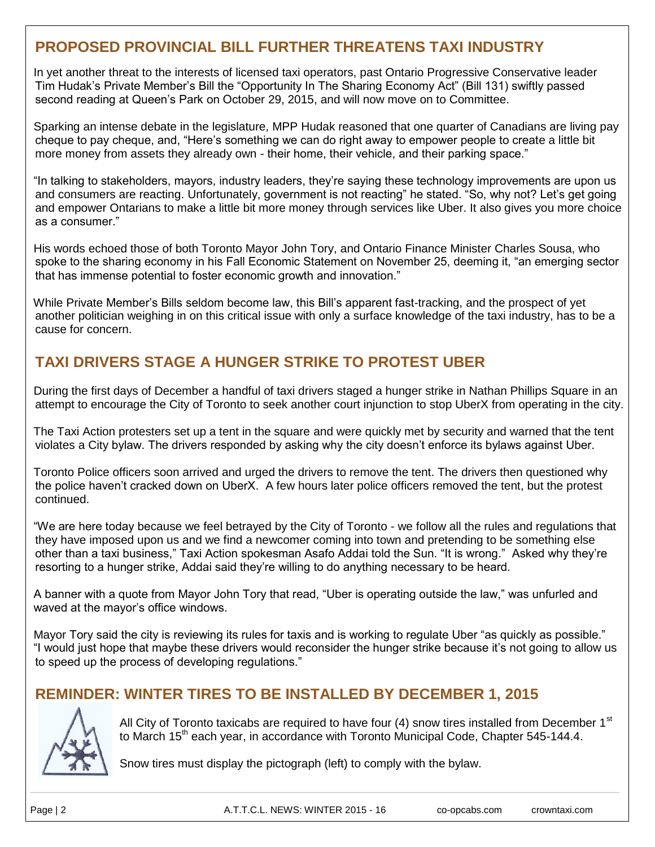## **PROPOSED PROVINCIAL BILL FURTHER THREATENS TAXI INDUSTRY**

In yet another threat to the interests of licensed taxi operators, past Ontario Progressive Conservative leader Tim Hudak's Private Member's Bill the "Opportunity In The Sharing Economy Act" (Bill 131) swiftly passed second reading at Queen's Park on October 29, 2015, and will now move on to Committee.

Sparking an intense debate in the legislature, MPP Hudak reasoned that one quarter of Canadians are living pay cheque to pay cheque, and, "Here's something we can do right away to empower people to create a little bit more money from assets they already own - their home, their vehicle, and their parking space."

"In talking to stakeholders, mayors, industry leaders, they're saying these technology improvements are upon us and consumers are reacting. Unfortunately, government is not reacting" he stated. "So, why not? Let's get going and empower Ontarians to make a little bit more money through services like Uber. It also gives you more choice as a consumer."

His words echoed those of both Toronto Mayor John Tory, and Ontario Finance Minister Charles Sousa, who spoke to the sharing economy in his Fall Economic Statement on November 25, deeming it, "an emerging sector that has immense potential to foster economic growth and innovation."

While Private Member's Bills seldom become law, this Bill's apparent fast-tracking, and the prospect of yet another politician weighing in on this critical issue with only a surface knowledge of the taxi industry, has to be a cause for concern.

## **TAXI DRIVERS STAGE A HUNGER STRIKE TO PROTEST UBER**

During the first days of December a handful of taxi drivers staged a hunger strike in Nathan Phillips Square in an attempt to encourage the City of Toronto to seek another court injunction to stop UberX from operating in the city.

The Taxi Action protesters set up a tent in the square and were quickly met by security and warned that the tent violates a City bylaw. The drivers responded by asking why the city doesn't enforce its bylaws against Uber.

Toronto Police officers soon arrived and urged the drivers to remove the tent. The drivers then questioned why the police haven't cracked down on UberX. A few hours later police officers removed the tent, but the protest continued.

"We are here today because we feel betrayed by the City of Toronto - we follow all the rules and regulations that they have imposed upon us and we find a newcomer coming into town and pretending to be something else other than a taxi business," Taxi Action spokesman Asafo Addai told the Sun. "It is wrong." Asked why they're resorting to a hunger strike, Addai said they're willing to do anything necessary to be heard.

A banner with a quote from Mayor John Tory that read, "Uber is operating outside the law," was unfurled and waved at the mayor's office windows.

Mayor Tory said the city is reviewing its rules for taxis and is working to regulate Uber "as quickly as possible." "I would just hope that maybe these drivers would reconsider the hunger strike because it's not going to allow us to speed up the process of developing regulations."

## **REMINDER: WINTER TIRES TO BE INSTALLED BY DECEMBER 1, 2015**



All City of Toronto taxicabs are required to have four  $(4)$  snow tires installed from December 1<sup>st</sup> to March 15<sup>th</sup> each year, in accordance with Toronto Municipal Code, Chapter 545-144.4.

Snow tires must display the pictograph (left) to comply with the bylaw.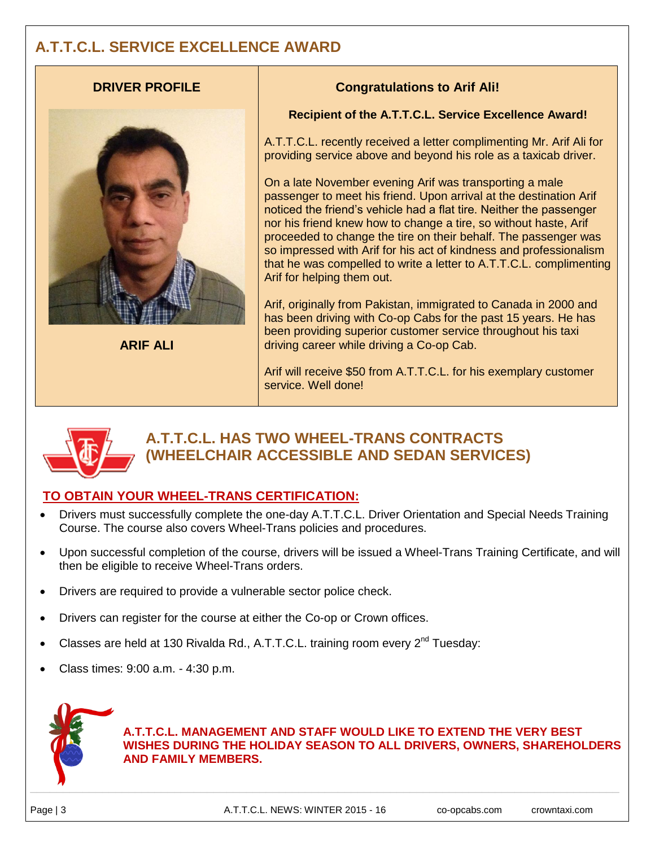## **A.T.T.C.L. SERVICE EXCELLENCE AWARD**

#### **DRIVER PROFILE**



**ARIF ALI**

#### **Congratulations to Arif Ali!**

#### **Recipient of the A.T.T.C.L. Service Excellence Award!**

A.T.T.C.L. recently received a letter complimenting Mr. Arif Ali for providing service above and beyond his role as a taxicab driver.

On a late November evening Arif was transporting a male passenger to meet his friend. Upon arrival at the destination Arif noticed the friend's vehicle had a flat tire. Neither the passenger nor his friend knew how to change a tire, so without haste, Arif proceeded to change the tire on their behalf. The passenger was so impressed with Arif for his act of kindness and professionalism that he was compelled to write a letter to A.T.T.C.L. complimenting Arif for helping them out.

Arif, originally from Pakistan, immigrated to Canada in 2000 and has been driving with Co-op Cabs for the past 15 years. He has been providing superior customer service throughout his taxi driving career while driving a Co-op Cab.

Arif will receive \$50 from A.T.T.C.L. for his exemplary customer service. Well done!



## **A.T.T.C.L. HAS TWO WHEEL-TRANS CONTRACTS (WHEELCHAIR ACCESSIBLE AND SEDAN SERVICES)**

#### **TO OBTAIN YOUR WHEEL-TRANS CERTIFICATION:**

- Drivers must successfully complete the one-day A.T.T.C.L. Driver Orientation and Special Needs Training Course. The course also covers Wheel-Trans policies and procedures.
- Upon successful completion of the course, drivers will be issued a Wheel-Trans Training Certificate, and will then be eligible to receive Wheel-Trans orders.
- Drivers are required to provide a vulnerable sector police check.
- Drivers can register for the course at either the Co-op or Crown offices.
- Classes are held at 130 Rivalda Rd., A.T.T.C.L. training room every  $2^{nd}$  Tuesday:
- Class times: 9:00 a.m. 4:30 p.m.



**A.T.T.C.L. MANAGEMENT AND STAFF WOULD LIKE TO EXTEND THE VERY BEST WISHES DURING THE HOLIDAY SEASON TO ALL DRIVERS, OWNERS, SHAREHOLDERS AND FAMILY MEMBERS.**